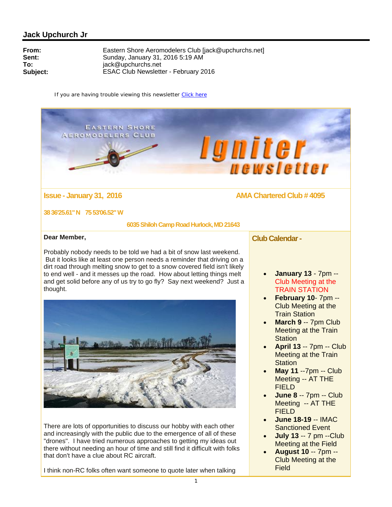**EASTERN SHORE AEROMODELERS CLUB** 

# **lgniter**

# **Issue - January 31, 2016 AMA Chartered Club # 4095**

**38 36'25.61" N 75 53'06.52" W** 

 **6035 Shiloh Camp Road Hurlock, MD 21643** 

### **Dear Member,**

Probably nobody needs to be told we had a bit of snow last weekend. But it looks like at least one person needs a reminder that driving on a dirt road through melting snow to get to a snow covered field isn't likely to end well - and it messes up the road. How about letting things melt and get solid before any of us try to go fly? Say next weekend? Just a thought.



There are lots of opportunities to discuss our hobby with each other and increasingly with the public due to the emergence of all of these "drones". I have tried numerous approaches to getting my ideas out there without needing an hour of time and still find it difficult with folks that don't have a clue about RC aircraft.

I think non-RC folks often want someone to quote later when talking

## **Club Calendar -**

- **January 13**  7pm -- Club Meeting at the TRAIN STATION
- **February 10** 7pm -- Club Meeting at the Train Station
- **March 9** -- 7pm Club Meeting at the Train **Station**
- **April 13** -- 7pm -- Club Meeting at the Train **Station**
- **May 11** --7pm -- Club Meeting -- AT THE **FIELD**
- **June 8** -- 7pm -- Club Meeting -- AT THE FIELD
- **June 18-19** -- IMAC Sanctioned Event
- **July 13** -- 7 pm --Club Meeting at the Field
- **August 10** -- 7pm -- Club Meeting at the Field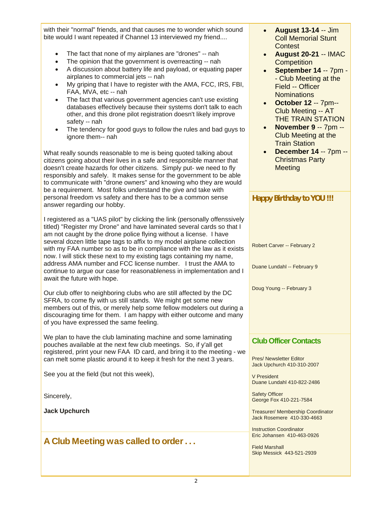with their "normal" friends, and that causes me to wonder which sound bite would I want repeated if Channel 13 interviewed my friend....

- The fact that none of my airplanes are "drones" -- nah
- The opinion that the government is overreacting -- nah
- A discussion about battery life and payload, or equating paper airplanes to commercial jets -- nah
- My griping that I have to register with the AMA, FCC, IRS, FBI, FAA, MVA, etc -- nah
- The fact that various government agencies can't use existing databases effectively because their systems don't talk to each other, and this drone pilot registration doesn't likely improve safety -- nah
- The tendency for good guys to follow the rules and bad guys to ignore them-- nah

What really sounds reasonable to me is being quoted talking about citizens going about their lives in a safe and responsible manner that doesn't create hazards for other citizens. Simply put- we need to fly responsibly and safely. It makes sense for the government to be able to communicate with "drone owners" and knowing who they are would be a requirement. Most folks understand the give and take with personal freedom vs safety and there has to be a common sense answer regarding our hobby.

I registered as a "UAS pilot" by clicking the link (personally offenssively titled) "Register my Drone" and have laminated several cards so that I am not caught by the drone police flying without a license. I have several dozen little tape tags to affix to my model airplane collection with my FAA number so as to be in compliance with the law as it exists now. I will stick these next to my existing tags containing my name, address AMA number and FCC license number. I trust the AMA to continue to argue our case for reasonableness in implementation and I await the future with hope.

Our club offer to neighboring clubs who are still affected by the DC SFRA, to come fly with us still stands. We might get some new members out of this, or merely help some fellow modelers out during a discouraging time for them. I am happy with either outcome and many of you have expressed the same feeling.

We plan to have the club laminating machine and some laminating pouches available at the next few club meetings. So, if y'all get registered, print your new FAA ID card, and bring it to the meeting - we can melt some plastic around it to keep it fresh for the next 3 years.

See you at the field (but not this week),

Sincerely,

**Jack Upchurch**

# A Club Meeting was called to order . . .

- **August 13-14** -- Jim Coll Memorial Stunt **Contest**
- **August 20-21** -- IMAC **Competition**
- **September 14** -- 7pm - Club Meeting at the Field -- Officer **Nominations**
- **October 12** -- 7pm-- Club Meeting -- AT THE TRAIN STATION
- **November 9** -- 7pm -- Club Meeting at the Train Station
- **December 14** -- 7pm -- Christmas Party **Meeting**

| <b>Happy Birthday to YOU !!!</b> |
|----------------------------------|
|                                  |
|                                  |
| Robert Carver -- February 2      |
| Duane Lundahl -- February 9      |
| Doug Young -- February 3         |
|                                  |
|                                  |
|                                  |

# **Club Officer Contacts**

Pres/ Newsletter Editor Jack Upchurch 410-310-2007

V President Duane Lundahl 410-822-2486

Safety Officer George Fox 410-221-7584

Treasurer/ Membership Coordinator Jack Rosemere 410-330-4663

Instruction Coordinator Eric Johansen 410-463-0926

Field Marshall Skip Messick 443-521-2939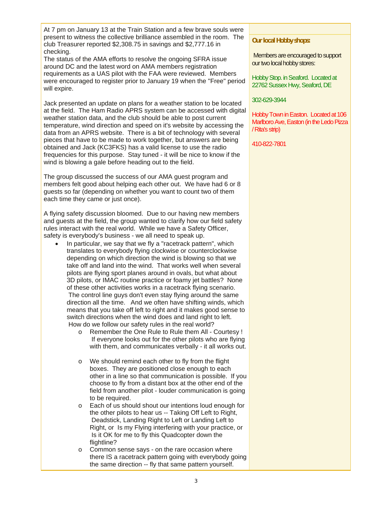At 7 pm on January 13 at the Train Station and a few brave souls were present to witness the collective brilliance assembled in the room. The club Treasurer reported \$2,308.75 in savings and \$2,777.16 in checking.

The status of the AMA efforts to resolve the ongoing SFRA issue around DC and the latest word on AMA members registration requirements as a UAS pilot with the FAA were reviewed. Members were encouraged to register prior to January 19 when the "Free" period will expire.

Jack presented an update on plans for a weather station to be located at the field. The Ham Radio APRS system can be accessed with digital weather station data, and the club should be able to post current temperature, wind direction and speed on it's website by accessing the data from an APRS website. There is a bit of technology with several pieces that have to be made to work together, but answers are being obtained and Jack (KC3FKS) has a valid license to use the radio frequencies for this purpose. Stay tuned - it will be nice to know if the wind is blowing a gale before heading out to the field.

The group discussed the success of our AMA guest program and members felt good about helping each other out. We have had 6 or 8 guests so far (depending on whether you want to count two of them each time they came or just once).

A flying safety discussion bloomed. Due to our having new members and guests at the field, the group wanted to clarify how our field safety rules interact with the real world. While we have a Safety Officer, safety is everybody's business - we all need to speak up.

- In particular, we say that we fly a "racetrack pattern", which translates to everybody flying clockwise or counterclockwise depending on which direction the wind is blowing so that we take off and land into the wind. That works well when several pilots are flying sport planes around in ovals, but what about 3D pilots, or IMAC routine practice or foamy jet battles? None of these other activities works in a racetrack flying scenario. The control line guys don't even stay flying around the same direction all the time. And we often have shifting winds, which means that you take off left to right and it makes good sense to switch directions when the wind does and land right to left. How do we follow our safety rules in the real world?
	- o Remember the One Rule to Rule them All Courtesy ! If everyone looks out for the other pilots who are flying with them, and communicates verbally - it all works out.
	- o We should remind each other to fly from the flight boxes. They are positioned close enough to each other in a line so that communication is possible. If you choose to fly from a distant box at the other end of the field from another pilot - louder communication is going to be required.
	- o Each of us should shout our intentions loud enough for the other pilots to hear us -- Taking Off Left to Right, Deadstick, Landing Right to Left or Landing Left to Right, or Is my Flying interfering with your practice, or Is it OK for me to fly this Quadcopter down the flightline?
	- o Common sense says on the rare occasion where there IS a racetrack pattern going with everybody going the same direction -- fly that same pattern yourself.

### **Our local Hobby shops:**

Members are encouraged to support our two local hobby stores:

Hobby Stop. in Seaford. Located at 22762 Sussex Hwy, Seaford, DE

#### 302-629-3944

Hobby Town in Easton. Located at 106 Marlboro Ave, Easton (in the Ledo Pizza / Rita's strip)

410-822-7801